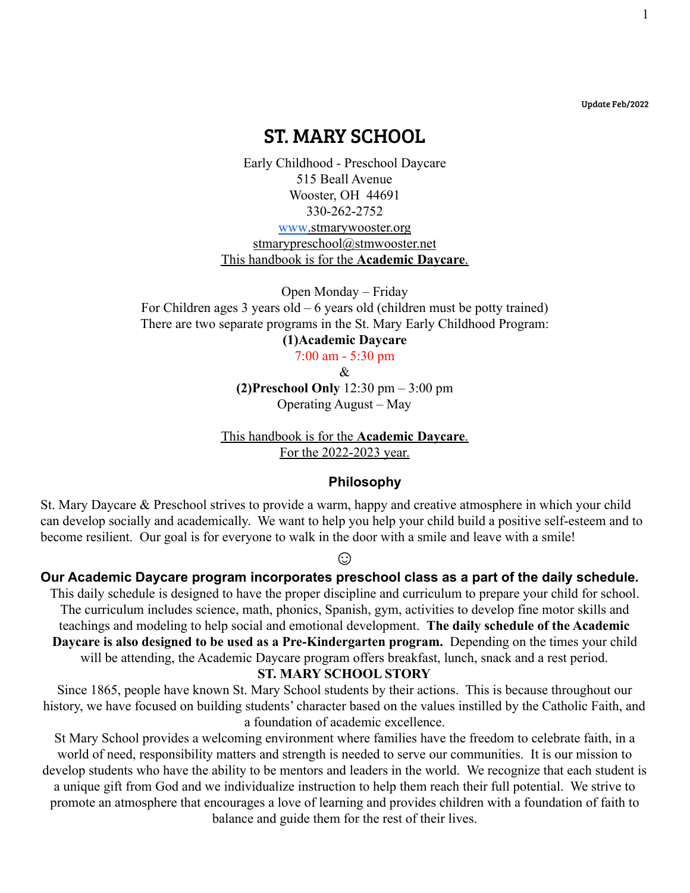Update Feb/2022

1

# ST. MARY SCHOOL

Early Childhood - Preschool Daycare 515 Beall Avenue Wooster, OH 44691 330-262-2752 [www](http://www.stmarywooster.org).stmarywooster.org stmarypreschool@stmwooster.net This handbook is for the **Academic Daycare**.

Open Monday – Friday For Children ages 3 years old – 6 years old (children must be potty trained) There are two separate programs in the St. Mary Early Childhood Program: **(1)Academic Daycare**

7:00 am - 5:30 pm

&

**(2)Preschool Only** 12:30 pm – 3:00 pm Operating August – May

This handbook is for the **Academic Daycare**. For the 2022-2023 year.

#### **Philosophy**

St. Mary Daycare & Preschool strives to provide a warm, happy and creative atmosphere in which your child can develop socially and academically. We want to help you help your child build a positive self-esteem and to become resilient. Our goal is for everyone to walk in the door with a smile and leave with a smile!

☺

**Our Academic Daycare program incorporates preschool class as a part of the daily schedule.**

This daily schedule is designed to have the proper discipline and curriculum to prepare your child for school. The curriculum includes science, math, phonics, Spanish, gym, activities to develop fine motor skills and teachings and modeling to help social and emotional development. **The daily schedule of the Academic Daycare is also designed to be used as a Pre-Kindergarten program.** Depending on the times your child will be attending, the Academic Daycare program offers breakfast, lunch, snack and a rest period.

#### **ST. MARY SCHOOL STORY**

Since 1865, people have known St. Mary School students by their actions. This is because throughout our history, we have focused on building students' character based on the values instilled by the Catholic Faith, and a foundation of academic excellence.

St Mary School provides a welcoming environment where families have the freedom to celebrate faith, in a world of need, responsibility matters and strength is needed to serve our communities. It is our mission to develop students who have the ability to be mentors and leaders in the world. We recognize that each student is a unique gift from God and we individualize instruction to help them reach their full potential. We strive to promote an atmosphere that encourages a love of learning and provides children with a foundation of faith to balance and guide them for the rest of their lives.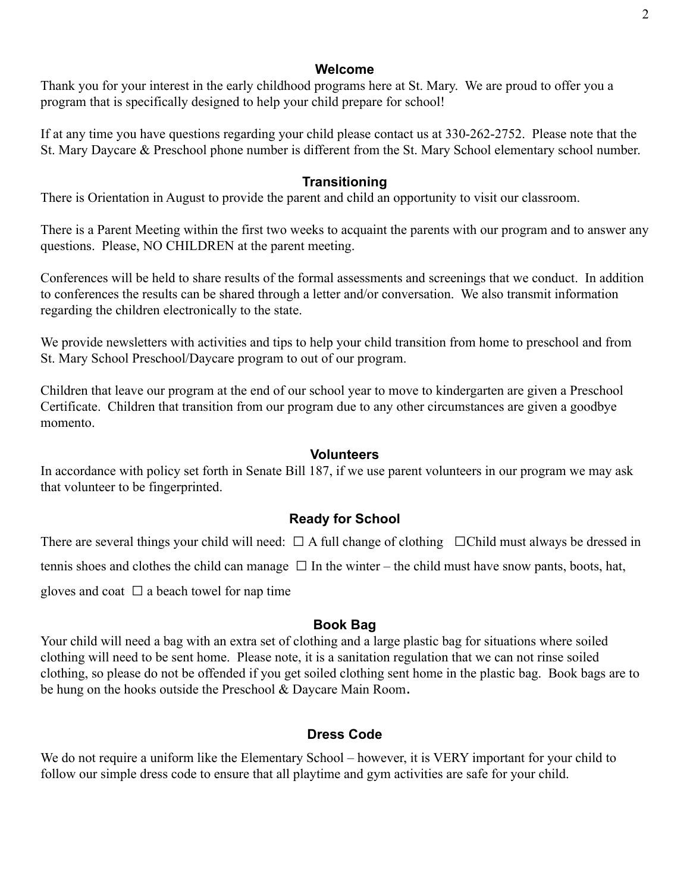### **Welcome**

Thank you for your interest in the early childhood programs here at St. Mary. We are proud to offer you a program that is specifically designed to help your child prepare for school!

If at any time you have questions regarding your child please contact us at 330-262-2752. Please note that the St. Mary Daycare & Preschool phone number is different from the St. Mary School elementary school number.

### **Transitioning**

There is Orientation in August to provide the parent and child an opportunity to visit our classroom.

There is a Parent Meeting within the first two weeks to acquaint the parents with our program and to answer any questions. Please, NO CHILDREN at the parent meeting.

Conferences will be held to share results of the formal assessments and screenings that we conduct. In addition to conferences the results can be shared through a letter and/or conversation. We also transmit information regarding the children electronically to the state.

We provide newsletters with activities and tips to help your child transition from home to preschool and from St. Mary School Preschool/Daycare program to out of our program.

Children that leave our program at the end of our school year to move to kindergarten are given a Preschool Certificate. Children that transition from our program due to any other circumstances are given a goodbye momento.

### **Volunteers**

In accordance with policy set forth in Senate Bill 187, if we use parent volunteers in our program we may ask that volunteer to be fingerprinted.

# **Ready for School**

There are several things your child will need:  $\Box$  A full change of clothing  $\Box$ Child must always be dressed in tennis shoes and clothes the child can manage  $\Box$  In the winter – the child must have snow pants, boots, hat, gloves and coat  $\Box$  a beach towel for nap time

### **Book Bag**

Your child will need a bag with an extra set of clothing and a large plastic bag for situations where soiled clothing will need to be sent home. Please note, it is a sanitation regulation that we can not rinse soiled clothing, so please do not be offended if you get soiled clothing sent home in the plastic bag. Book bags are to be hung on the hooks outside the Preschool & Daycare Main Room.

# **Dress Code**

We do not require a uniform like the Elementary School – however, it is VERY important for your child to follow our simple dress code to ensure that all playtime and gym activities are safe for your child.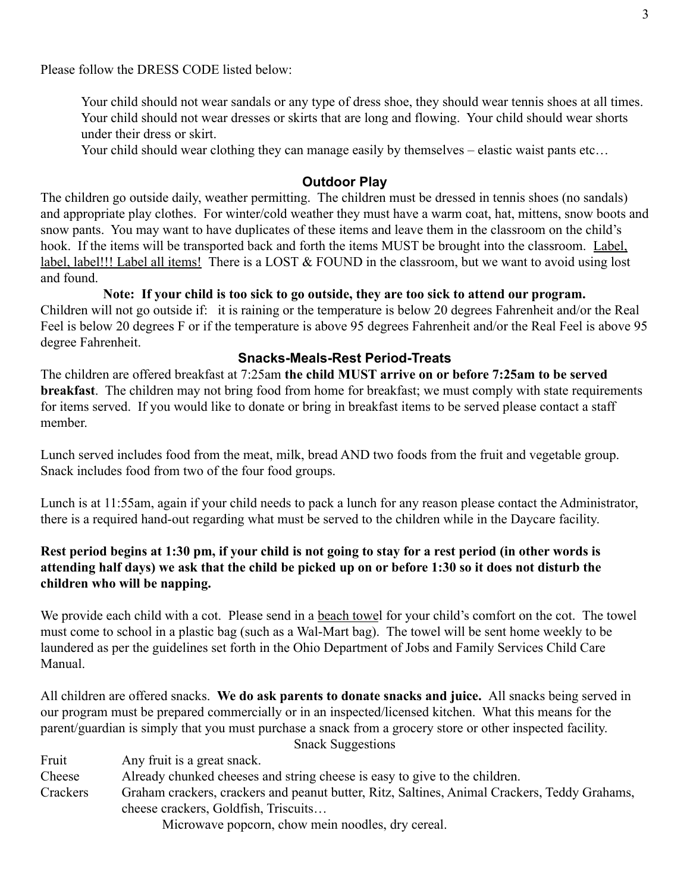Please follow the DRESS CODE listed below:

Your child should not wear sandals or any type of dress shoe, they should wear tennis shoes at all times. Your child should not wear dresses or skirts that are long and flowing. Your child should wear shorts under their dress or skirt.

Your child should wear clothing they can manage easily by themselves – elastic waist pants etc…

### **Outdoor Play**

The children go outside daily, weather permitting. The children must be dressed in tennis shoes (no sandals) and appropriate play clothes. For winter/cold weather they must have a warm coat, hat, mittens, snow boots and snow pants. You may want to have duplicates of these items and leave them in the classroom on the child's hook. If the items will be transported back and forth the items MUST be brought into the classroom. Label, label, label!!! Label all items! There is a LOST & FOUND in the classroom, but we want to avoid using lost and found.

#### **Note: If your child is too sick to go outside, they are too sick to attend our program.**

Children will not go outside if: it is raining or the temperature is below 20 degrees Fahrenheit and/or the Real Feel is below 20 degrees F or if the temperature is above 95 degrees Fahrenheit and/or the Real Feel is above 95 degree Fahrenheit.

### **Snacks-Meals-Rest Period-Treats**

The children are offered breakfast at 7:25am **the child MUST arrive on or before 7:25am to be served breakfast**. The children may not bring food from home for breakfast; we must comply with state requirements for items served. If you would like to donate or bring in breakfast items to be served please contact a staff member.

Lunch served includes food from the meat, milk, bread AND two foods from the fruit and vegetable group. Snack includes food from two of the four food groups.

Lunch is at 11:55am, again if your child needs to pack a lunch for any reason please contact the Administrator, there is a required hand-out regarding what must be served to the children while in the Daycare facility.

### **Rest period begins at 1:30 pm, if your child is not going to stay for a rest period (in other words is attending half days) we ask that the child be picked up on or before 1:30 so it does not disturb the children who will be napping.**

We provide each child with a cot. Please send in a beach towel for your child's comfort on the cot. The towel must come to school in a plastic bag (such as a Wal-Mart bag). The towel will be sent home weekly to be laundered as per the guidelines set forth in the Ohio Department of Jobs and Family Services Child Care Manual.

All children are offered snacks. **We do ask parents to donate snacks and juice.** All snacks being served in our program must be prepared commercially or in an inspected/licensed kitchen. What this means for the parent/guardian is simply that you must purchase a snack from a grocery store or other inspected facility.

Snack Suggestions

Fruit Any fruit is a great snack.

Cheese Already chunked cheeses and string cheese is easy to give to the children.

Crackers Graham crackers, crackers and peanut butter, Ritz, Saltines, Animal Crackers, Teddy Grahams, cheese crackers, Goldfish, Triscuits…

Microwave popcorn, chow mein noodles, dry cereal.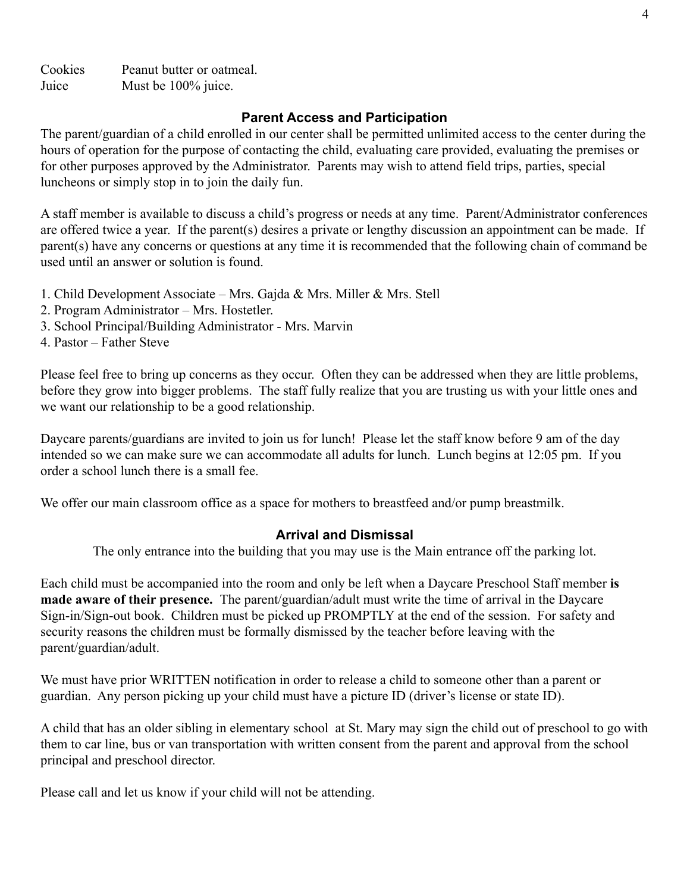Cookies Peanut butter or oatmeal. Juice Must be 100% juice.

# **Parent Access and Participation**

The parent/guardian of a child enrolled in our center shall be permitted unlimited access to the center during the hours of operation for the purpose of contacting the child, evaluating care provided, evaluating the premises or for other purposes approved by the Administrator. Parents may wish to attend field trips, parties, special luncheons or simply stop in to join the daily fun.

A staff member is available to discuss a child's progress or needs at any time. Parent/Administrator conferences are offered twice a year. If the parent(s) desires a private or lengthy discussion an appointment can be made. If parent(s) have any concerns or questions at any time it is recommended that the following chain of command be used until an answer or solution is found.

- 1. Child Development Associate Mrs. Gajda & Mrs. Miller & Mrs. Stell
- 2. Program Administrator Mrs. Hostetler.
- 3. School Principal/Building Administrator Mrs. Marvin
- 4. Pastor Father Steve

Please feel free to bring up concerns as they occur. Often they can be addressed when they are little problems, before they grow into bigger problems. The staff fully realize that you are trusting us with your little ones and we want our relationship to be a good relationship.

Daycare parents/guardians are invited to join us for lunch! Please let the staff know before 9 am of the day intended so we can make sure we can accommodate all adults for lunch. Lunch begins at 12:05 pm. If you order a school lunch there is a small fee.

We offer our main classroom office as a space for mothers to breastfeed and/or pump breastmilk.

# **Arrival and Dismissal**

The only entrance into the building that you may use is the Main entrance off the parking lot.

Each child must be accompanied into the room and only be left when a Daycare Preschool Staff member **is made aware of their presence.** The parent/guardian/adult must write the time of arrival in the Daycare Sign-in/Sign-out book. Children must be picked up PROMPTLY at the end of the session. For safety and security reasons the children must be formally dismissed by the teacher before leaving with the parent/guardian/adult.

We must have prior WRITTEN notification in order to release a child to someone other than a parent or guardian. Any person picking up your child must have a picture ID (driver's license or state ID).

A child that has an older sibling in elementary school at St. Mary may sign the child out of preschool to go with them to car line, bus or van transportation with written consent from the parent and approval from the school principal and preschool director.

Please call and let us know if your child will not be attending.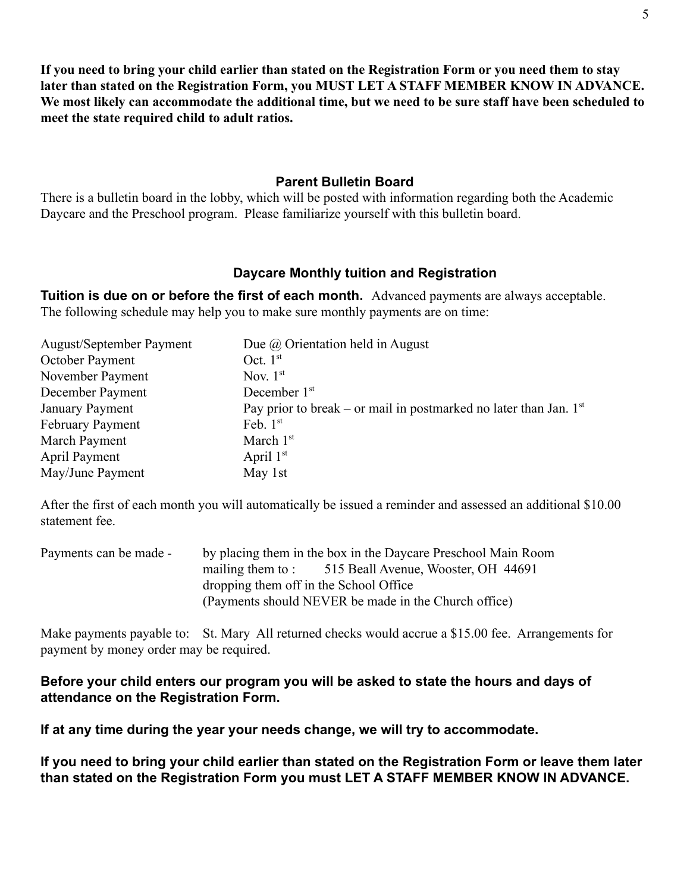**If you need to bring your child earlier than stated on the Registration Form or you need them to stay later than stated on the Registration Form, you MUST LET A STAFF MEMBER KNOW IN ADVANCE.**

**We most likely can accommodate the additional time, but we need to be sure staff have been scheduled to meet the state required child to adult ratios.**

# **Parent Bulletin Board**

There is a bulletin board in the lobby, which will be posted with information regarding both the Academic Daycare and the Preschool program. Please familiarize yourself with this bulletin board.

# **Daycare Monthly tuition and Registration**

**Tuition is due on or before the first of each month.** Advanced payments are always acceptable. The following schedule may help you to make sure monthly payments are on time:

| <b>August/September Payment</b> | Due $\omega$ Orientation held in August                             |
|---------------------------------|---------------------------------------------------------------------|
| October Payment                 | Oct. $1st$                                                          |
| November Payment                | Nov. $1st$                                                          |
| December Payment                | December 1 <sup>st</sup>                                            |
| January Payment                 | Pay prior to break – or mail in postmarked no later than Jan. $1st$ |
| <b>February Payment</b>         | Feb. $1st$                                                          |
| March Payment                   | March $1st$                                                         |
| <b>April Payment</b>            | April $1st$                                                         |
| May/June Payment                | May 1st                                                             |

After the first of each month you will automatically be issued a reminder and assessed an additional \$10.00 statement fee.

| Payments can be made - |                                        | by placing them in the box in the Daycare Preschool Main Room |
|------------------------|----------------------------------------|---------------------------------------------------------------|
|                        |                                        | mailing them to: 515 Beall Avenue, Wooster, OH 44691          |
|                        | dropping them off in the School Office |                                                               |
|                        |                                        | (Payments should NEVER be made in the Church office)          |

Make payments payable to: St. Mary All returned checks would accrue a \$15.00 fee. Arrangements for payment by money order may be required.

# **Before your child enters our program you will be asked to state the hours and days of attendance on the Registration Form.**

**If at any time during the year your needs change, we will try to accommodate.**

**If you need to bring your child earlier than stated on the Registration Form or leave them later than stated on the Registration Form you must LET A STAFF MEMBER KNOW IN ADVANCE.**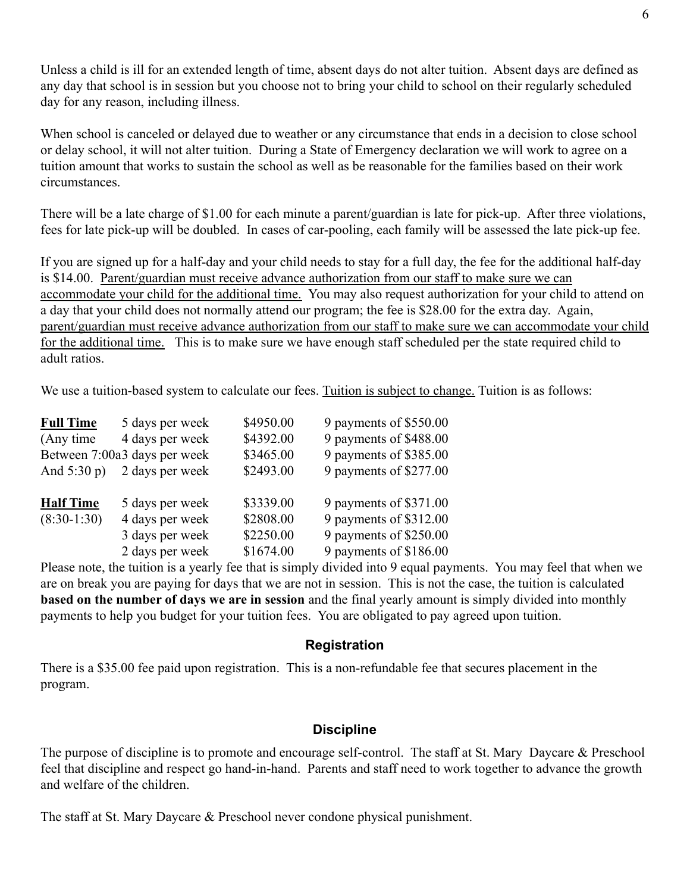Unless a child is ill for an extended length of time, absent days do not alter tuition. Absent days are defined as any day that school is in session but you choose not to bring your child to school on their regularly scheduled day for any reason, including illness.

When school is canceled or delayed due to weather or any circumstance that ends in a decision to close school or delay school, it will not alter tuition. During a State of Emergency declaration we will work to agree on a tuition amount that works to sustain the school as well as be reasonable for the families based on their work circumstances.

There will be a late charge of \$1.00 for each minute a parent/guardian is late for pick-up. After three violations, fees for late pick-up will be doubled. In cases of car-pooling, each family will be assessed the late pick-up fee.

If you are signed up for a half-day and your child needs to stay for a full day, the fee for the additional half-day is \$14.00. Parent/guardian must receive advance authorization from our staff to make sure we can accommodate your child for the additional time. You may also request authorization for your child to attend on a day that your child does not normally attend our program; the fee is \$28.00 for the extra day. Again, parent/guardian must receive advance authorization from our staff to make sure we can accommodate your child for the additional time. This is to make sure we have enough staff scheduled per the state required child to adult ratios.

We use a tuition-based system to calculate our fees. Tuition is subject to change. Tuition is as follows:

| <b>Full Time</b>     | 5 days per week              | \$4950.00 | 9 payments of \$550.00 |
|----------------------|------------------------------|-----------|------------------------|
| (Any time)           | 4 days per week              | \$4392.00 | 9 payments of \$488.00 |
|                      | Between 7:00a3 days per week | \$3465.00 | 9 payments of \$385.00 |
| And $5:30 \text{ p}$ | 2 days per week              | \$2493.00 | 9 payments of \$277.00 |
| <b>Half Time</b>     | 5 days per week              | \$3339.00 | 9 payments of \$371.00 |
|                      |                              |           |                        |
| $(8:30-1:30)$        | 4 days per week              | \$2808.00 | 9 payments of \$312.00 |
|                      | 3 days per week              | \$2250.00 | 9 payments of \$250.00 |
|                      | 2 days per week              | \$1674.00 | 9 payments of \$186.00 |

Please note, the tuition is a yearly fee that is simply divided into 9 equal payments. You may feel that when we are on break you are paying for days that we are not in session. This is not the case, the tuition is calculated **based on the number of days we are in session** and the final yearly amount is simply divided into monthly payments to help you budget for your tuition fees. You are obligated to pay agreed upon tuition.

#### **Registration**

There is a \$35.00 fee paid upon registration. This is a non-refundable fee that secures placement in the program.

### **Discipline**

The purpose of discipline is to promote and encourage self-control. The staff at St. Mary Daycare & Preschool feel that discipline and respect go hand-in-hand. Parents and staff need to work together to advance the growth and welfare of the children.

The staff at St. Mary Daycare & Preschool never condone physical punishment.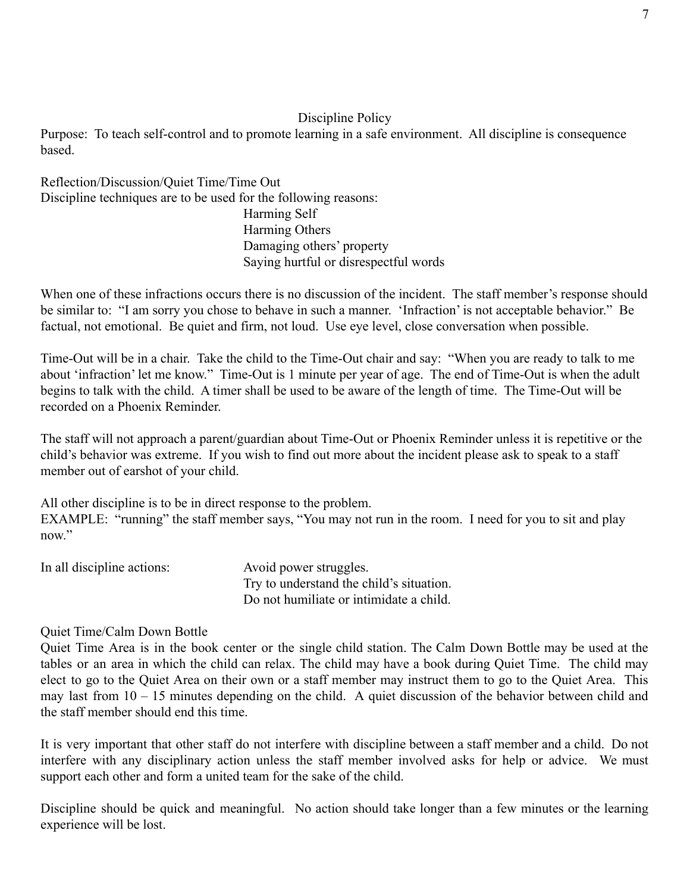### Discipline Policy

Purpose: To teach self-control and to promote learning in a safe environment. All discipline is consequence based.

Reflection/Discussion/Quiet Time/Time Out Discipline techniques are to be used for the following reasons: Harming Self Harming Others Damaging others' property Saying hurtful or disrespectful words

When one of these infractions occurs there is no discussion of the incident. The staff member's response should be similar to: "I am sorry you chose to behave in such a manner. 'Infraction' is not acceptable behavior." Be factual, not emotional. Be quiet and firm, not loud. Use eye level, close conversation when possible.

Time-Out will be in a chair. Take the child to the Time-Out chair and say: "When you are ready to talk to me about 'infraction' let me know." Time-Out is 1 minute per year of age. The end of Time-Out is when the adult begins to talk with the child. A timer shall be used to be aware of the length of time. The Time-Out will be recorded on a Phoenix Reminder.

The staff will not approach a parent/guardian about Time-Out or Phoenix Reminder unless it is repetitive or the child's behavior was extreme. If you wish to find out more about the incident please ask to speak to a staff member out of earshot of your child.

All other discipline is to be in direct response to the problem. EXAMPLE: "running" the staff member says, "You may not run in the room. I need for you to sit and play now."

| In all discipline actions: | Avoid power struggles.                   |
|----------------------------|------------------------------------------|
|                            | Try to understand the child's situation. |
|                            | Do not humiliate or intimidate a child.  |

### Quiet Time/Calm Down Bottle

Quiet Time Area is in the book center or the single child station. The Calm Down Bottle may be used at the tables or an area in which the child can relax. The child may have a book during Quiet Time. The child may elect to go to the Quiet Area on their own or a staff member may instruct them to go to the Quiet Area. This may last from 10 – 15 minutes depending on the child. A quiet discussion of the behavior between child and the staff member should end this time.

It is very important that other staff do not interfere with discipline between a staff member and a child. Do not interfere with any disciplinary action unless the staff member involved asks for help or advice. We must support each other and form a united team for the sake of the child.

Discipline should be quick and meaningful. No action should take longer than a few minutes or the learning experience will be lost.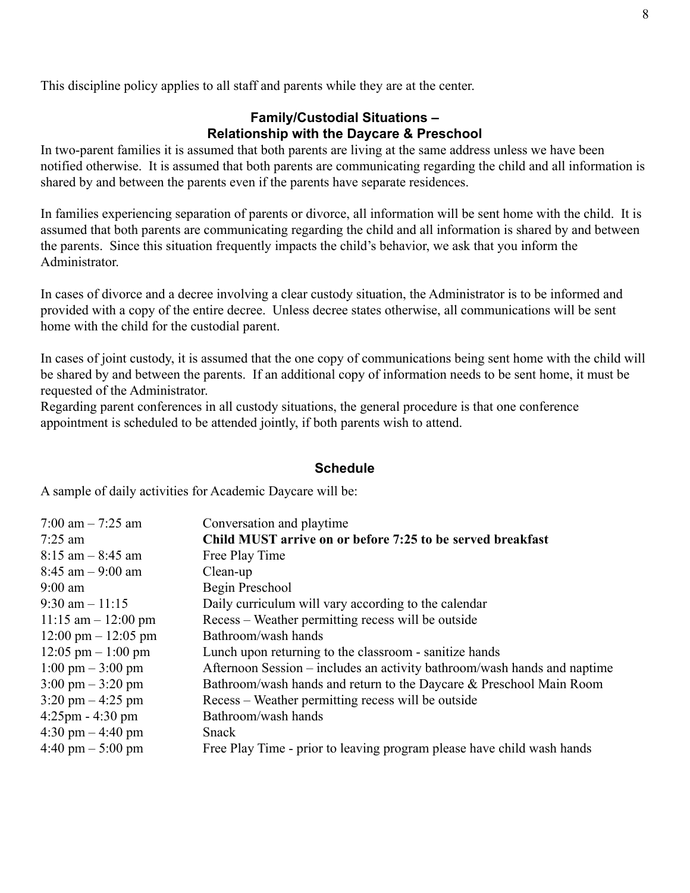This discipline policy applies to all staff and parents while they are at the center.

### **Family/Custodial Situations – Relationship with the Daycare & Preschool**

In two-parent families it is assumed that both parents are living at the same address unless we have been notified otherwise. It is assumed that both parents are communicating regarding the child and all information is shared by and between the parents even if the parents have separate residences.

In families experiencing separation of parents or divorce, all information will be sent home with the child. It is assumed that both parents are communicating regarding the child and all information is shared by and between the parents. Since this situation frequently impacts the child's behavior, we ask that you inform the Administrator.

In cases of divorce and a decree involving a clear custody situation, the Administrator is to be informed and provided with a copy of the entire decree. Unless decree states otherwise, all communications will be sent home with the child for the custodial parent.

In cases of joint custody, it is assumed that the one copy of communications being sent home with the child will be shared by and between the parents. If an additional copy of information needs to be sent home, it must be requested of the Administrator.

Regarding parent conferences in all custody situations, the general procedure is that one conference appointment is scheduled to be attended jointly, if both parents wish to attend.

#### **Schedule**

A sample of daily activities for Academic Daycare will be:

| Conversation and playtime.                                               |
|--------------------------------------------------------------------------|
| Child MUST arrive on or before 7:25 to be served breakfast               |
| Free Play Time                                                           |
| Clean-up                                                                 |
| Begin Preschool                                                          |
| Daily curriculum will vary according to the calendar                     |
| Recess – Weather permitting recess will be outside                       |
| Bathroom/wash hands                                                      |
| Lunch upon returning to the classroom - sanitize hands                   |
| Afternoon Session – includes an activity bathroom/wash hands and naptime |
| Bathroom/wash hands and return to the Daycare & Preschool Main Room      |
| Recess – Weather permitting recess will be outside                       |
| Bathroom/wash hands                                                      |
| Snack                                                                    |
| Free Play Time - prior to leaving program please have child wash hands   |
|                                                                          |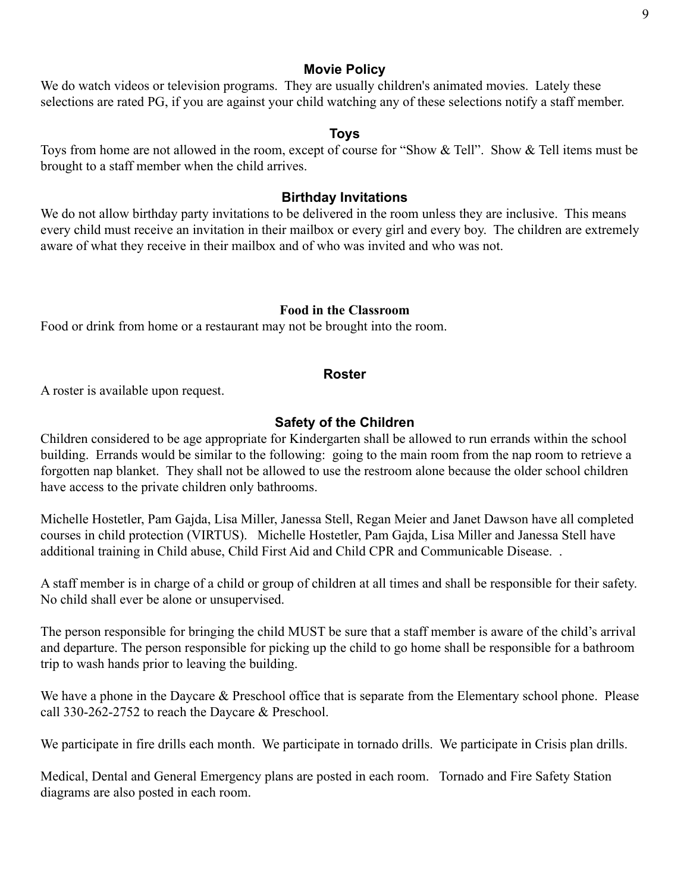#### **Movie Policy**

We do watch videos or television programs. They are usually children's animated movies. Lately these selections are rated PG, if you are against your child watching any of these selections notify a staff member.

#### **Toys**

Toys from home are not allowed in the room, except of course for "Show & Tell". Show & Tell items must be brought to a staff member when the child arrives.

#### **Birthday Invitations**

We do not allow birthday party invitations to be delivered in the room unless they are inclusive. This means every child must receive an invitation in their mailbox or every girl and every boy. The children are extremely aware of what they receive in their mailbox and of who was invited and who was not.

#### **Food in the Classroom**

Food or drink from home or a restaurant may not be brought into the room.

#### **Roster**

A roster is available upon request.

#### **Safety of the Children**

Children considered to be age appropriate for Kindergarten shall be allowed to run errands within the school building. Errands would be similar to the following: going to the main room from the nap room to retrieve a forgotten nap blanket. They shall not be allowed to use the restroom alone because the older school children have access to the private children only bathrooms.

Michelle Hostetler, Pam Gajda, Lisa Miller, Janessa Stell, Regan Meier and Janet Dawson have all completed courses in child protection (VIRTUS). Michelle Hostetler, Pam Gajda, Lisa Miller and Janessa Stell have additional training in Child abuse, Child First Aid and Child CPR and Communicable Disease. .

A staff member is in charge of a child or group of children at all times and shall be responsible for their safety. No child shall ever be alone or unsupervised.

The person responsible for bringing the child MUST be sure that a staff member is aware of the child's arrival and departure. The person responsible for picking up the child to go home shall be responsible for a bathroom trip to wash hands prior to leaving the building.

We have a phone in the Daycare & Preschool office that is separate from the Elementary school phone. Please call 330-262-2752 to reach the Daycare & Preschool.

We participate in fire drills each month. We participate in tornado drills. We participate in Crisis plan drills.

Medical, Dental and General Emergency plans are posted in each room. Tornado and Fire Safety Station diagrams are also posted in each room.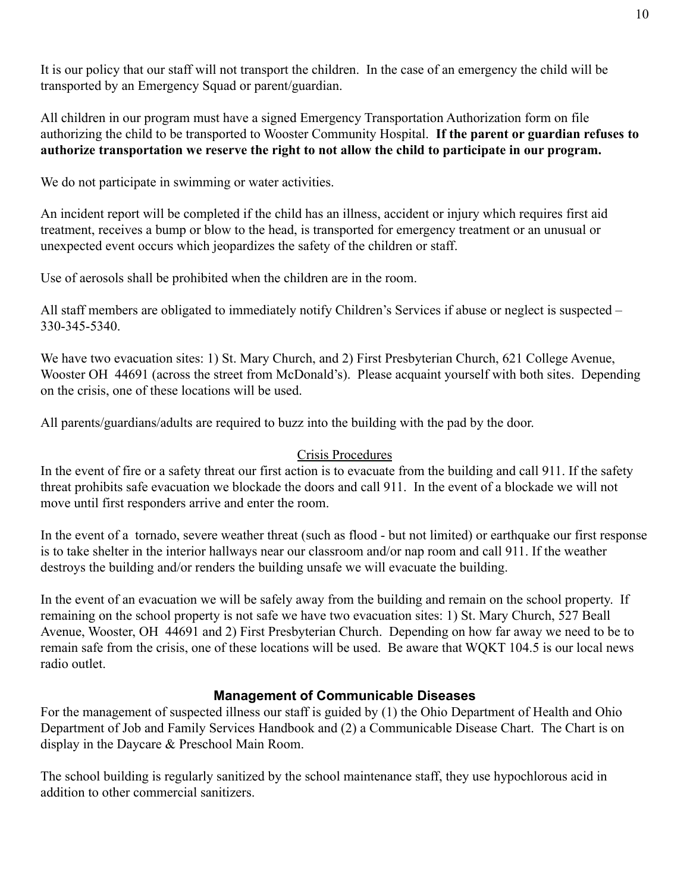It is our policy that our staff will not transport the children. In the case of an emergency the child will be transported by an Emergency Squad or parent/guardian.

All children in our program must have a signed Emergency Transportation Authorization form on file authorizing the child to be transported to Wooster Community Hospital. **If the parent or guardian refuses to authorize transportation we reserve the right to not allow the child to participate in our program.**

We do not participate in swimming or water activities.

An incident report will be completed if the child has an illness, accident or injury which requires first aid treatment, receives a bump or blow to the head, is transported for emergency treatment or an unusual or unexpected event occurs which jeopardizes the safety of the children or staff.

Use of aerosols shall be prohibited when the children are in the room.

All staff members are obligated to immediately notify Children's Services if abuse or neglect is suspected – 330-345-5340.

We have two evacuation sites: 1) St. Mary Church, and 2) First Presbyterian Church, 621 College Avenue, Wooster OH 44691 (across the street from McDonald's). Please acquaint yourself with both sites. Depending on the crisis, one of these locations will be used.

All parents/guardians/adults are required to buzz into the building with the pad by the door.

### Crisis Procedures

In the event of fire or a safety threat our first action is to evacuate from the building and call 911. If the safety threat prohibits safe evacuation we blockade the doors and call 911. In the event of a blockade we will not move until first responders arrive and enter the room.

In the event of a tornado, severe weather threat (such as flood - but not limited) or earthquake our first response is to take shelter in the interior hallways near our classroom and/or nap room and call 911. If the weather destroys the building and/or renders the building unsafe we will evacuate the building.

In the event of an evacuation we will be safely away from the building and remain on the school property. If remaining on the school property is not safe we have two evacuation sites: 1) St. Mary Church, 527 Beall Avenue, Wooster, OH 44691 and 2) First Presbyterian Church. Depending on how far away we need to be to remain safe from the crisis, one of these locations will be used. Be aware that WQKT 104.5 is our local news radio outlet.

# **Management of Communicable Diseases**

For the management of suspected illness our staff is guided by (1) the Ohio Department of Health and Ohio Department of Job and Family Services Handbook and (2) a Communicable Disease Chart. The Chart is on display in the Daycare & Preschool Main Room.

The school building is regularly sanitized by the school maintenance staff, they use hypochlorous acid in addition to other commercial sanitizers.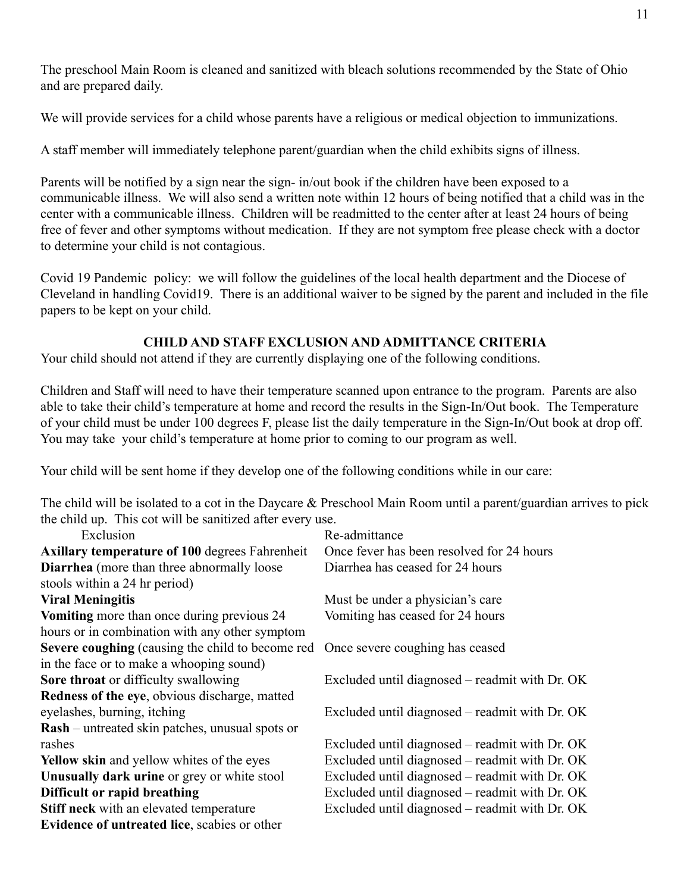The preschool Main Room is cleaned and sanitized with bleach solutions recommended by the State of Ohio and are prepared daily.

We will provide services for a child whose parents have a religious or medical objection to immunizations.

A staff member will immediately telephone parent/guardian when the child exhibits signs of illness.

Parents will be notified by a sign near the sign- in/out book if the children have been exposed to a communicable illness. We will also send a written note within 12 hours of being notified that a child was in the center with a communicable illness. Children will be readmitted to the center after at least 24 hours of being free of fever and other symptoms without medication. If they are not symptom free please check with a doctor to determine your child is not contagious.

Covid 19 Pandemic policy: we will follow the guidelines of the local health department and the Diocese of Cleveland in handling Covid19. There is an additional waiver to be signed by the parent and included in the file papers to be kept on your child.

# **CHILD AND STAFF EXCLUSION AND ADMITTANCE CRITERIA**

Your child should not attend if they are currently displaying one of the following conditions.

Children and Staff will need to have their temperature scanned upon entrance to the program. Parents are also able to take their child's temperature at home and record the results in the Sign-In/Out book. The Temperature of your child must be under 100 degrees F, please list the daily temperature in the Sign-In/Out book at drop off. You may take your child's temperature at home prior to coming to our program as well.

Your child will be sent home if they develop one of the following conditions while in our care:

The child will be isolated to a cot in the Daycare & Preschool Main Room until a parent/guardian arrives to pick the child up. This cot will be sanitized after every use.

| Exclusion                                              | Re-admittance                                  |
|--------------------------------------------------------|------------------------------------------------|
| <b>Axillary temperature of 100 degrees Fahrenheit</b>  | Once fever has been resolved for 24 hours      |
| Diarrhea (more than three abnormally loose             | Diarrhea has ceased for 24 hours               |
| stools within a 24 hr period)                          |                                                |
| <b>Viral Meningitis</b>                                | Must be under a physician's care               |
| Vomiting more than once during previous 24             | Vomiting has ceased for 24 hours               |
| hours or in combination with any other symptom         |                                                |
| Severe coughing (causing the child to become red       | Once severe coughing has ceased                |
| in the face or to make a whooping sound)               |                                                |
| Sore throat or difficulty swallowing                   | Excluded until diagnosed – readmit with Dr. OK |
| Redness of the eye, obvious discharge, matted          |                                                |
| eyelashes, burning, itching                            | Excluded until diagnosed – readmit with Dr. OK |
| <b>Rash</b> – untreated skin patches, unusual spots or |                                                |
| rashes                                                 | Excluded until diagnosed – readmit with Dr. OK |
| Yellow skin and yellow whites of the eyes              | Excluded until diagnosed – readmit with Dr. OK |
| Unusually dark urine or grey or white stool            | Excluded until diagnosed – readmit with Dr. OK |
| Difficult or rapid breathing                           | Excluded until diagnosed – readmit with Dr. OK |
| Stiff neck with an elevated temperature                | Excluded until diagnosed – readmit with Dr. OK |
| <b>Evidence of untreated lice</b> , scabies or other   |                                                |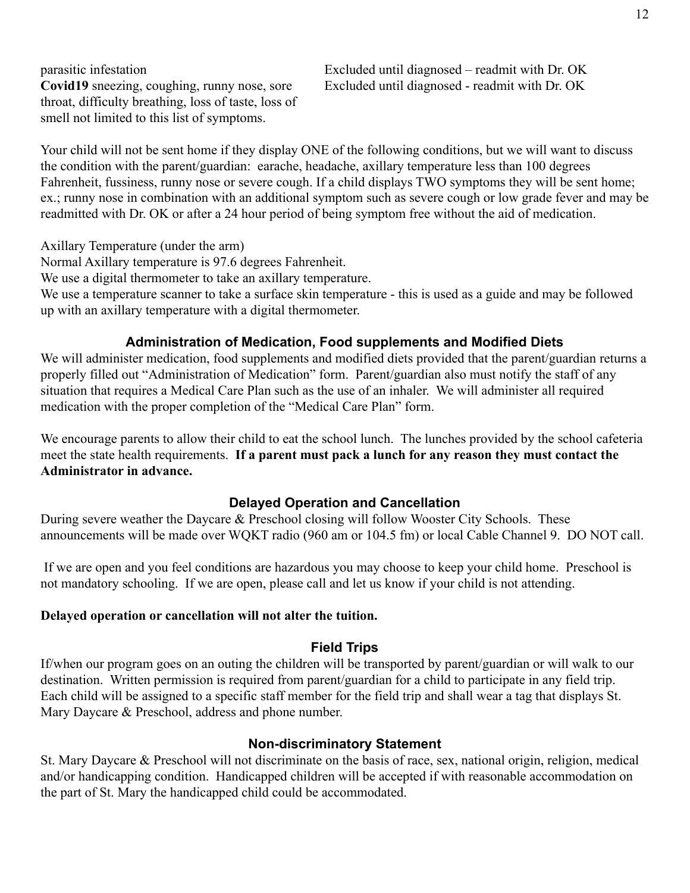throat, difficulty breathing, loss of taste, loss of smell not limited to this list of symptoms.

parasitic infestation Excluded until diagnosed – readmit with Dr. OK **Covid19** sneezing, coughing, runny nose, sore Excluded until diagnosed - readmit with Dr. OK

Your child will not be sent home if they display ONE of the following conditions, but we will want to discuss the condition with the parent/guardian: earache, headache, axillary temperature less than 100 degrees Fahrenheit, fussiness, runny nose or severe cough. If a child displays TWO symptoms they will be sent home; ex.; runny nose in combination with an additional symptom such as severe cough or low grade fever and may be readmitted with Dr. OK or after a 24 hour period of being symptom free without the aid of medication.

Axillary Temperature (under the arm)

Normal Axillary temperature is 97.6 degrees Fahrenheit.

We use a digital thermometer to take an axillary temperature.

We use a temperature scanner to take a surface skin temperature - this is used as a guide and may be followed up with an axillary temperature with a digital thermometer.

# **Administration of Medication, Food supplements and Modified Diets**

We will administer medication, food supplements and modified diets provided that the parent/guardian returns a properly filled out "Administration of Medication" form. Parent/guardian also must notify the staff of any situation that requires a Medical Care Plan such as the use of an inhaler. We will administer all required medication with the proper completion of the "Medical Care Plan" form.

We encourage parents to allow their child to eat the school lunch. The lunches provided by the school cafeteria meet the state health requirements. **If a parent must pack a lunch for any reason they must contact the Administrator in advance.**

### **Delayed Operation and Cancellation**

During severe weather the Daycare & Preschool closing will follow Wooster City Schools. These announcements will be made over WQKT radio (960 am or 104.5 fm) or local Cable Channel 9. DO NOT call.

If we are open and you feel conditions are hazardous you may choose to keep your child home. Preschool is not mandatory schooling. If we are open, please call and let us know if your child is not attending.

### **Delayed operation or cancellation will not alter the tuition.**

### **Field Trips**

If/when our program goes on an outing the children will be transported by parent/guardian or will walk to our destination. Written permission is required from parent/guardian for a child to participate in any field trip. Each child will be assigned to a specific staff member for the field trip and shall wear a tag that displays St. Mary Daycare & Preschool, address and phone number.

### **Non-discriminatory Statement**

St. Mary Daycare & Preschool will not discriminate on the basis of race, sex, national origin, religion, medical and/or handicapping condition. Handicapped children will be accepted if with reasonable accommodation on the part of St. Mary the handicapped child could be accommodated.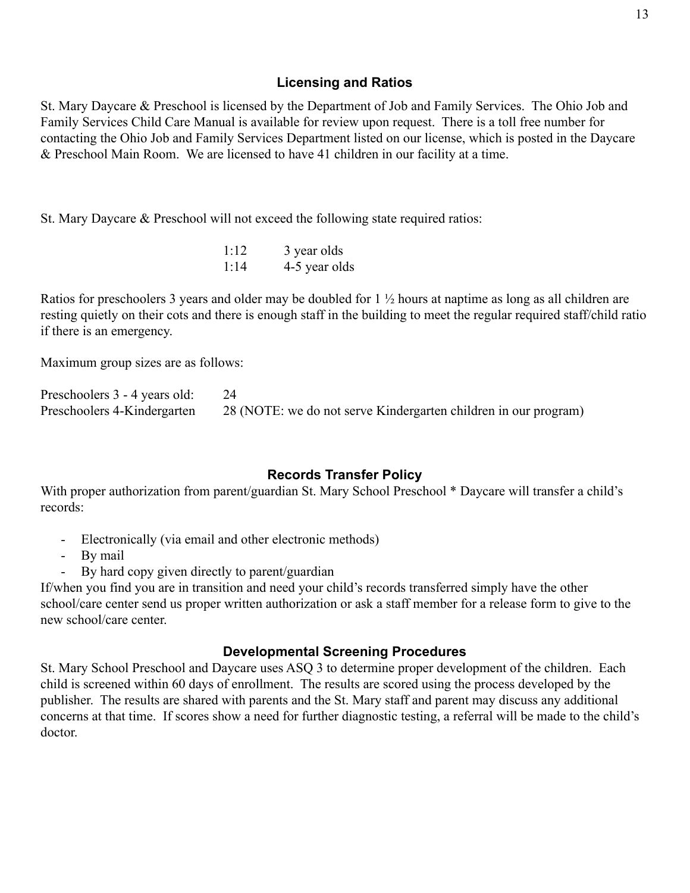### **Licensing and Ratios**

St. Mary Daycare & Preschool is licensed by the Department of Job and Family Services. The Ohio Job and Family Services Child Care Manual is available for review upon request. There is a toll free number for contacting the Ohio Job and Family Services Department listed on our license, which is posted in the Daycare & Preschool Main Room. We are licensed to have 41 children in our facility at a time.

St. Mary Daycare & Preschool will not exceed the following state required ratios:

| 1:12 | 3 year olds   |
|------|---------------|
| 1:14 | 4-5 year olds |

Ratios for preschoolers 3 years and older may be doubled for 1 ½ hours at naptime as long as all children are resting quietly on their cots and there is enough staff in the building to meet the regular required staff/child ratio if there is an emergency.

Maximum group sizes are as follows:

| Preschoolers 3 - 4 years old: |                                                                 |
|-------------------------------|-----------------------------------------------------------------|
| Preschoolers 4-Kindergarten   | 28 (NOTE: we do not serve Kindergarten children in our program) |

### **Records Transfer Policy**

With proper authorization from parent/guardian St. Mary School Preschool \* Daycare will transfer a child's records:

- Electronically (via email and other electronic methods)
- By mail
- By hard copy given directly to parent/guardian

If/when you find you are in transition and need your child's records transferred simply have the other school/care center send us proper written authorization or ask a staff member for a release form to give to the new school/care center.

#### **Developmental Screening Procedures**

St. Mary School Preschool and Daycare uses ASQ 3 to determine proper development of the children. Each child is screened within 60 days of enrollment. The results are scored using the process developed by the publisher. The results are shared with parents and the St. Mary staff and parent may discuss any additional concerns at that time. If scores show a need for further diagnostic testing, a referral will be made to the child's doctor.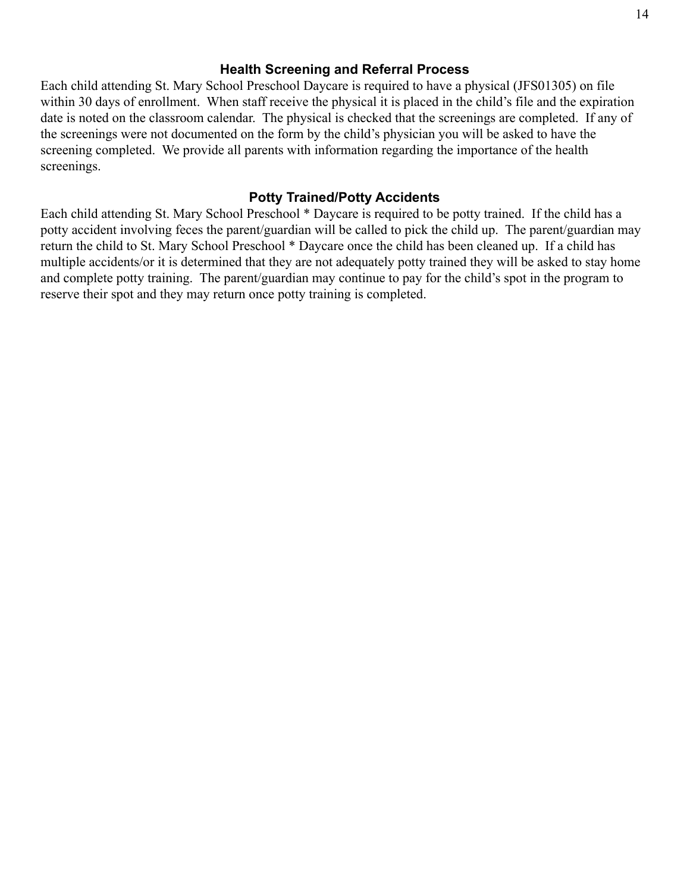### **Health Screening and Referral Process**

Each child attending St. Mary School Preschool Daycare is required to have a physical (JFS01305) on file within 30 days of enrollment. When staff receive the physical it is placed in the child's file and the expiration date is noted on the classroom calendar. The physical is checked that the screenings are completed. If any of the screenings were not documented on the form by the child's physician you will be asked to have the screening completed. We provide all parents with information regarding the importance of the health screenings.

# **Potty Trained/Potty Accidents**

Each child attending St. Mary School Preschool \* Daycare is required to be potty trained. If the child has a potty accident involving feces the parent/guardian will be called to pick the child up. The parent/guardian may return the child to St. Mary School Preschool \* Daycare once the child has been cleaned up. If a child has multiple accidents/or it is determined that they are not adequately potty trained they will be asked to stay home and complete potty training. The parent/guardian may continue to pay for the child's spot in the program to reserve their spot and they may return once potty training is completed.